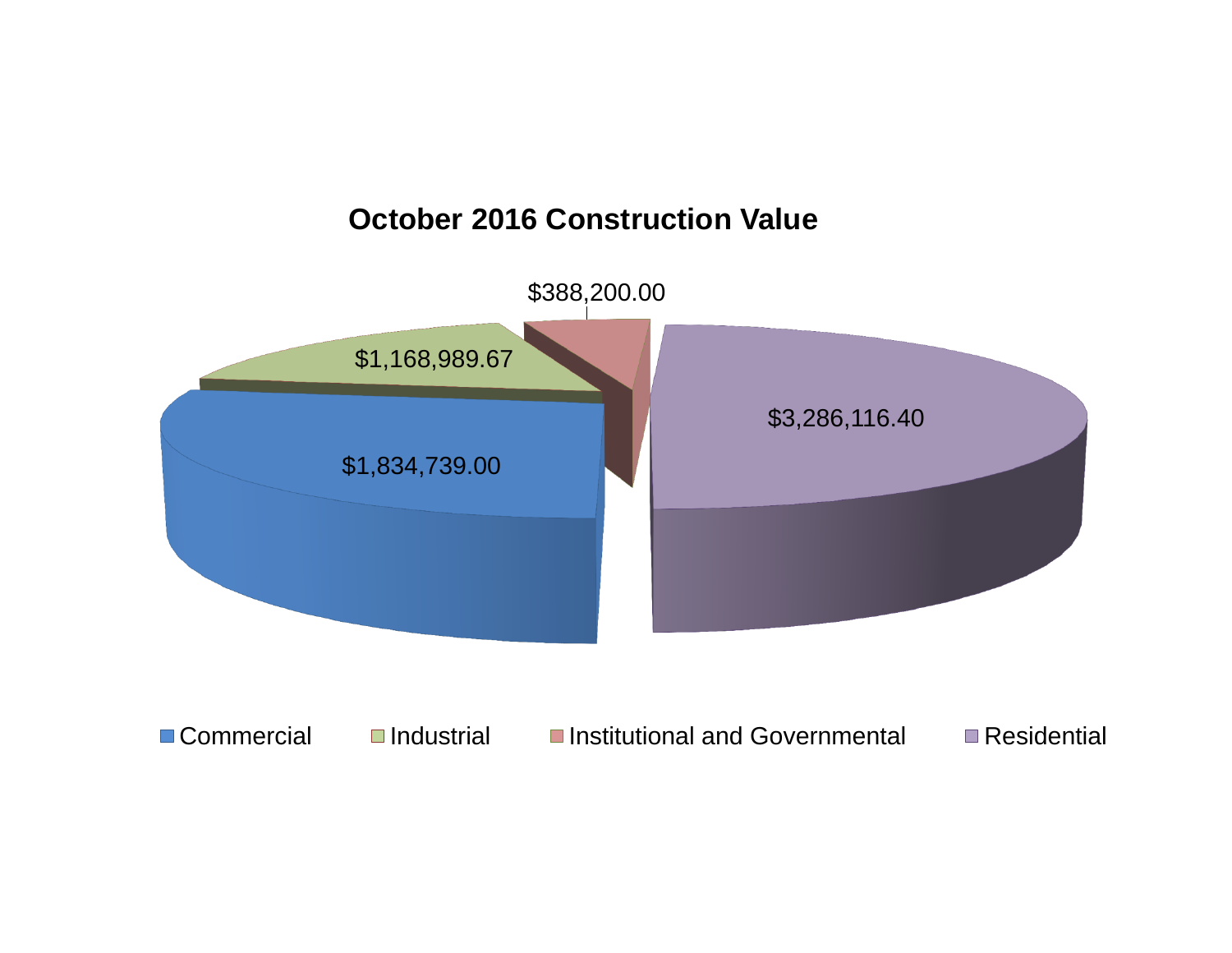

## **October 2016 Construction Value**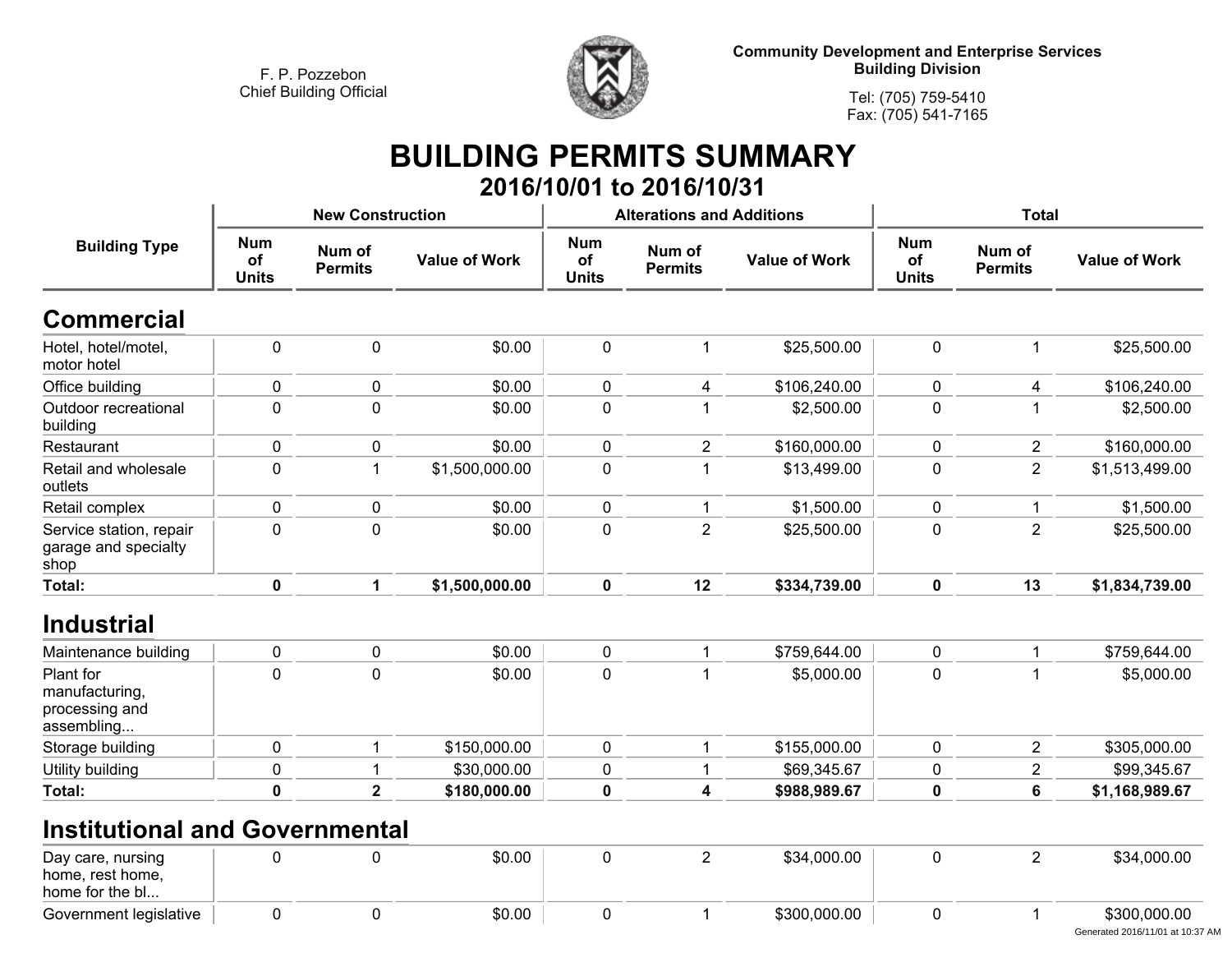**Government legislative**



**Community Development and Enterprise Services Building Division**

**Tel: (705) 759-5410Fax: (705) 541-7165**

## **BUILDING PERMITS SUMMARY**

|                                                             |                                  |                          |                      |                                  | 2016/10/01 to 2016/10/31                         |              |                                  |                          |                      |
|-------------------------------------------------------------|----------------------------------|--------------------------|----------------------|----------------------------------|--------------------------------------------------|--------------|----------------------------------|--------------------------|----------------------|
|                                                             |                                  | <b>New Construction</b>  |                      |                                  | <b>Alterations and Additions</b>                 |              | <b>Total</b>                     |                          |                      |
| <b>Building Type</b>                                        | <b>Num</b><br>of<br><b>Units</b> | Num of<br><b>Permits</b> | <b>Value of Work</b> | <b>Num</b><br>of<br><b>Units</b> | Num of<br><b>Value of Work</b><br><b>Permits</b> |              | <b>Num</b><br>of<br><b>Units</b> | Num of<br><b>Permits</b> | <b>Value of Work</b> |
| <b>Commercial</b>                                           |                                  |                          |                      |                                  |                                                  |              |                                  |                          |                      |
| Hotel, hotel/motel,<br>motor hotel                          | 0                                | $\pmb{0}$                | \$0.00               | $\pmb{0}$                        | 1                                                | \$25,500.00  | $\pmb{0}$                        | 1                        | \$25,500.00          |
| Office building                                             | 0                                | $\pmb{0}$                | \$0.00               | $\pmb{0}$                        | 4                                                | \$106,240.00 | 0                                | 4                        | \$106,240.00         |
| Outdoor recreational<br>building                            | 0                                | $\mathbf 0$              | \$0.00               | $\mathbf 0$                      |                                                  | \$2,500.00   | 0                                | 1                        | \$2,500.00           |
| Restaurant                                                  | 0                                | 0                        | \$0.00               | 0                                | $\overline{2}$                                   | \$160,000.00 | 0                                | $\overline{2}$           | \$160,000.00         |
| Retail and wholesale<br>outlets                             | 0                                | $\mathbf{1}$             | \$1,500,000.00       | $\pmb{0}$                        | 1                                                | \$13,499.00  | 0                                | $\overline{2}$           | \$1,513,499.00       |
| Retail complex                                              | 0                                | $\mathbf 0$              | \$0.00               | 0                                |                                                  | \$1,500.00   | 0                                | 1                        | \$1,500.00           |
| Service station, repair<br>garage and specialty<br>shop     | 0                                | $\overline{0}$           | \$0.00               | $\mathbf 0$                      | $\overline{2}$                                   | \$25,500.00  | 0                                | $\overline{2}$           | \$25,500.00          |
| Total:                                                      | $\mathbf 0$                      | 1                        | \$1,500,000.00       | $\mathbf 0$                      | 12                                               | \$334,739.00 | $\mathbf 0$                      | 13                       | \$1,834,739.00       |
| <b>Industrial</b>                                           |                                  |                          |                      |                                  |                                                  |              |                                  |                          |                      |
| Maintenance building                                        | $\mathbf 0$                      | $\mathbf 0$              | \$0.00               | $\mathbf 0$                      | $\mathbf 1$                                      | \$759,644.00 | $\mathbf 0$                      | 1                        | \$759,644.00         |
| Plant for<br>manufacturing,<br>processing and<br>assembling | 0                                | $\mathbf 0$              | \$0.00               | $\mathbf 0$                      |                                                  | \$5,000.00   | 0                                | 1                        | \$5,000.00           |
| Storage building                                            | 0                                | $\mathbf 1$              | \$150,000.00         | $\mathbf 0$                      | $\mathbf{1}$                                     | \$155,000.00 | $\mathbf 0$                      | $\overline{2}$           | \$305,000.00         |
| Utility building                                            | 0                                | 1                        | \$30,000.00          | $\pmb{0}$                        |                                                  | \$69,345.67  | 0                                | $\overline{2}$           | \$99,345.67          |
| Total:                                                      | 0                                | $\overline{\mathbf{2}}$  | \$180,000.00         | $\pmb{0}$                        | $\overline{\mathbf{4}}$                          | \$988,989.67 | 0                                | 6                        | \$1,168,989.67       |
| <b>Institutional and Governmental</b>                       |                                  |                          |                      |                                  |                                                  |              |                                  |                          |                      |
| Day care, nursing<br>home, rest home,<br>home for the bl    | 0                                | 0                        | \$0.00               | $\pmb{0}$                        | $\overline{2}$                                   | \$34,000.00  | $\pmb{0}$                        | $\overline{2}$           | \$34,000.00          |
|                                                             |                                  |                          |                      |                                  |                                                  |              |                                  |                          |                      |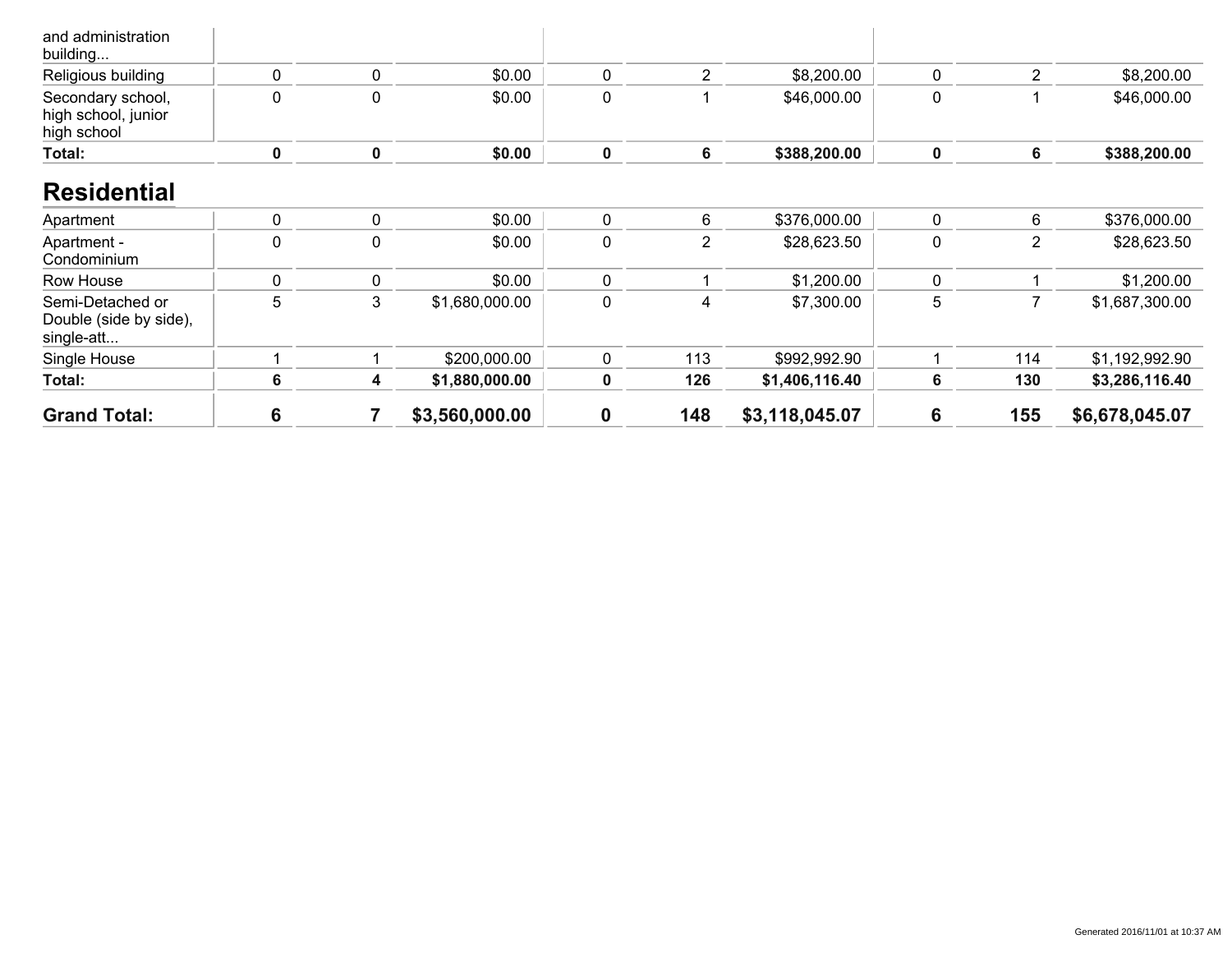| <b>Grand Total:</b>                                      | 6 |   | \$3,560,000.00 | 0           | 148            | \$3,118,045.07 | 6                | 155            | \$6,678,045.07 |
|----------------------------------------------------------|---|---|----------------|-------------|----------------|----------------|------------------|----------------|----------------|
| Total:                                                   | 6 | 4 | \$1,880,000.00 | 0           | 126            | \$1,406,116.40 | 6                | 130            | \$3,286,116.40 |
| Single House                                             |   |   | \$200,000.00   | 0           | 113            | \$992,992.90   |                  | 114            | \$1,192,992.90 |
| Semi-Detached or<br>Double (side by side),<br>single-att | 5 | 3 | \$1,680,000.00 | 0           | 4              | \$7,300.00     | 5                | 7              | \$1,687,300.00 |
| Row House                                                | 0 | 0 | \$0.00         | $\mathbf 0$ |                | \$1,200.00     | 0                |                | \$1,200.00     |
| Apartment -<br>Condominium                               | 0 | 0 | \$0.00         | $\mathbf 0$ | $\overline{2}$ | \$28,623.50    | $\boldsymbol{0}$ | $\overline{2}$ | \$28,623.50    |
| Apartment                                                | 0 | 0 | \$0.00         | $\mathbf 0$ | 6              | \$376,000.00   | 0                | 6              | \$376,000.00   |
| <b>Residential</b>                                       |   |   |                |             |                |                |                  |                |                |
| high school, junior<br>high school<br>Total:             | 0 | 0 | \$0.00         | $\pmb{0}$   | 6              | \$388,200.00   | $\mathbf 0$      | 6              | \$388,200.00   |
| Secondary school,                                        | 0 | 0 | \$0.00         | $\mathbf 0$ |                | \$46,000.00    | $\mathbf 0$      |                | \$46,000.00    |
| and administration<br>building<br>Religious building     | 0 | 0 | \$0.00         | 0           | $\overline{2}$ | \$8,200.00     | $\mathbf{0}$     | 2              | \$8,200.00     |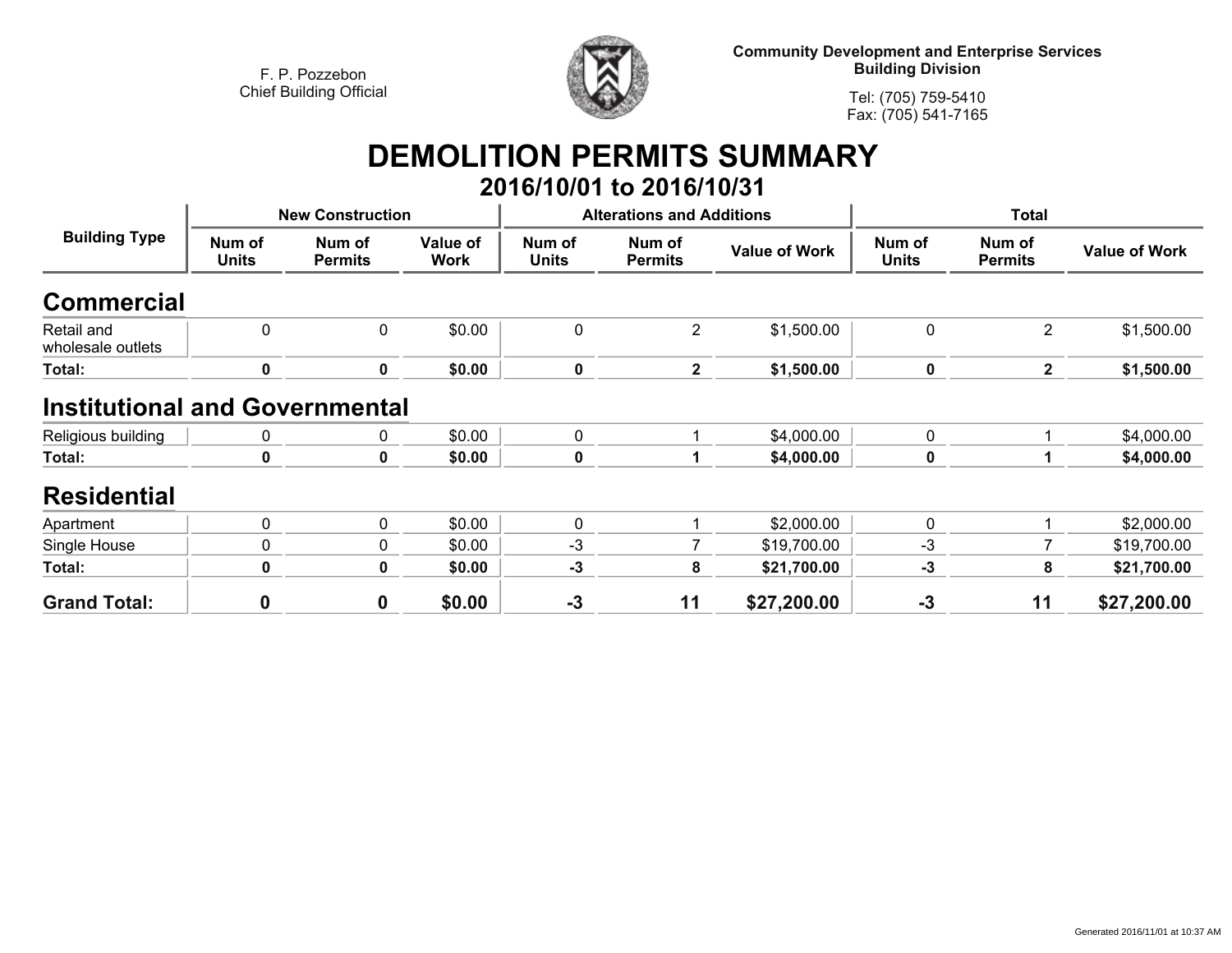

**Community Development and Enterprise Services Building Division**

**Tel: (705) 759-5410Fax: (705) 541-7165**

## **DEMOLITION PERMITS SUMMARY**

|                                       |                        |                          |                         |                 | 2016/10/01 to 2016/10/31         |                      |                        |                          |                      |
|---------------------------------------|------------------------|--------------------------|-------------------------|-----------------|----------------------------------|----------------------|------------------------|--------------------------|----------------------|
| <b>Building Type</b>                  |                        | <b>New Construction</b>  |                         |                 | <b>Alterations and Additions</b> |                      | <b>Total</b>           |                          |                      |
|                                       | Num of<br><b>Units</b> | Num of<br><b>Permits</b> | Value of<br><b>Work</b> | Num of<br>Units | Num of<br><b>Permits</b>         | <b>Value of Work</b> | Num of<br><b>Units</b> | Num of<br><b>Permits</b> | <b>Value of Work</b> |
| <b>Commercial</b>                     |                        |                          |                         |                 |                                  |                      |                        |                          |                      |
| Retail and<br>wholesale outlets       | 0                      | 0                        | \$0.00                  | 0               | 2                                | \$1,500.00           | 0                      | $\overline{2}$           | \$1,500.00           |
| Total:                                | 0                      | 0                        | \$0.00                  | 0               | $\mathbf{2}$                     | \$1,500.00           | 0                      | $\mathbf{2}$             | \$1,500.00           |
| <b>Institutional and Governmental</b> |                        |                          |                         |                 |                                  |                      |                        |                          |                      |
| Religious building                    | 0                      | 0                        | \$0.00                  | $\mathbf 0$     |                                  | \$4,000.00           | 0                      | 1                        | \$4,000.00           |
| Total:                                | $\bf{0}$               | 0                        | \$0.00                  | $\pmb{0}$       |                                  | \$4,000.00           | 0                      | 1                        | \$4,000.00           |
| <b>Residential</b>                    |                        |                          |                         |                 |                                  |                      |                        |                          |                      |
| Apartment                             | 0                      | 0                        | \$0.00                  | 0               |                                  | \$2,000.00           | 0                      | 1                        | \$2,000.00           |
| Single House                          | 0                      | 0                        | \$0.00                  | $-3$            |                                  | \$19,700.00          | $-3$                   |                          | \$19,700.00          |
| Total:                                | 0                      | 0                        | \$0.00                  | $-3$            | 8                                | \$21,700.00          | $-3$                   | 8                        | \$21,700.00          |
| <b>Grand Total:</b>                   | $\mathbf 0$            | $\mathbf 0$              | \$0.00                  | $-3$            | 11                               | \$27,200.00          | $-3$                   | 11                       | \$27,200.00          |